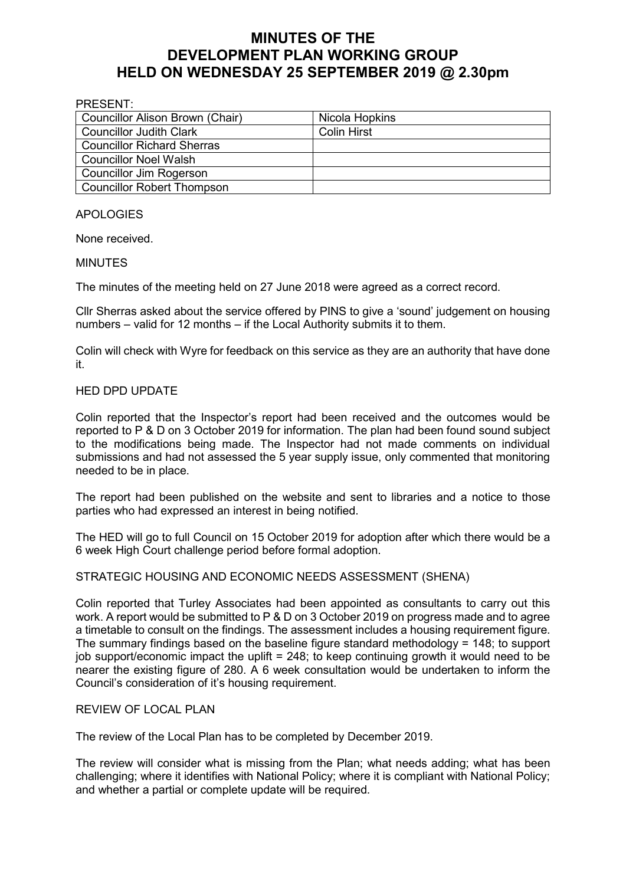# **MINUTES OF THE DEVELOPMENT PLAN WORKING GROUP HELD ON WEDNESDAY 25 SEPTEMBER 2019 @ 2.30pm**

#### PRESENT:

| Councillor Alison Brown (Chair)   | Nicola Hopkins     |
|-----------------------------------|--------------------|
| <b>Councillor Judith Clark</b>    | <b>Colin Hirst</b> |
| <b>Councillor Richard Sherras</b> |                    |
| <b>Councillor Noel Walsh</b>      |                    |
| Councillor Jim Rogerson           |                    |
| <b>Councillor Robert Thompson</b> |                    |

## APOLOGIES

None received.

#### MINUTES

The minutes of the meeting held on 27 June 2018 were agreed as a correct record.

Cllr Sherras asked about the service offered by PINS to give a 'sound' judgement on housing numbers – valid for 12 months – if the Local Authority submits it to them.

Colin will check with Wyre for feedback on this service as they are an authority that have done it.

### HED DPD UPDATE

Colin reported that the Inspector's report had been received and the outcomes would be reported to P & D on 3 October 2019 for information. The plan had been found sound subject to the modifications being made. The Inspector had not made comments on individual submissions and had not assessed the 5 year supply issue, only commented that monitoring needed to be in place.

The report had been published on the website and sent to libraries and a notice to those parties who had expressed an interest in being notified.

The HED will go to full Council on 15 October 2019 for adoption after which there would be a 6 week High Court challenge period before formal adoption.

STRATEGIC HOUSING AND ECONOMIC NEEDS ASSESSMENT (SHENA)

Colin reported that Turley Associates had been appointed as consultants to carry out this work. A report would be submitted to P & D on 3 October 2019 on progress made and to agree a timetable to consult on the findings. The assessment includes a housing requirement figure. The summary findings based on the baseline figure standard methodology = 148; to support job support/economic impact the uplift = 248; to keep continuing growth it would need to be nearer the existing figure of 280. A 6 week consultation would be undertaken to inform the Council's consideration of it's housing requirement.

#### REVIEW OF LOCAL PLAN

The review of the Local Plan has to be completed by December 2019.

The review will consider what is missing from the Plan; what needs adding; what has been challenging; where it identifies with National Policy; where it is compliant with National Policy; and whether a partial or complete update will be required.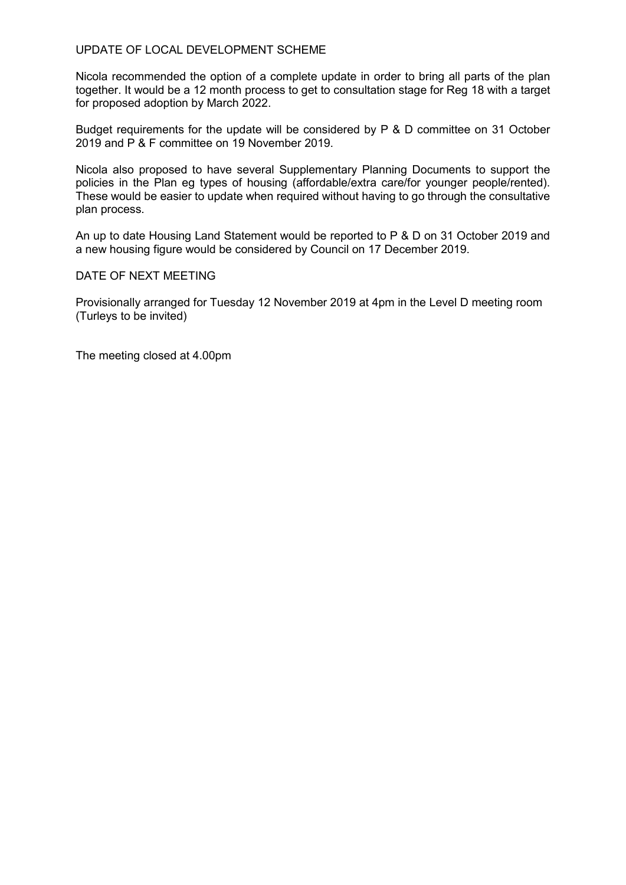## UPDATE OF LOCAL DEVELOPMENT SCHEME

Nicola recommended the option of a complete update in order to bring all parts of the plan together. It would be a 12 month process to get to consultation stage for Reg 18 with a target for proposed adoption by March 2022.

Budget requirements for the update will be considered by P & D committee on 31 October 2019 and P & F committee on 19 November 2019.

Nicola also proposed to have several Supplementary Planning Documents to support the policies in the Plan eg types of housing (affordable/extra care/for younger people/rented). These would be easier to update when required without having to go through the consultative plan process.

An up to date Housing Land Statement would be reported to P & D on 31 October 2019 and a new housing figure would be considered by Council on 17 December 2019.

#### DATE OF NEXT MEETING

Provisionally arranged for Tuesday 12 November 2019 at 4pm in the Level D meeting room (Turleys to be invited)

The meeting closed at 4.00pm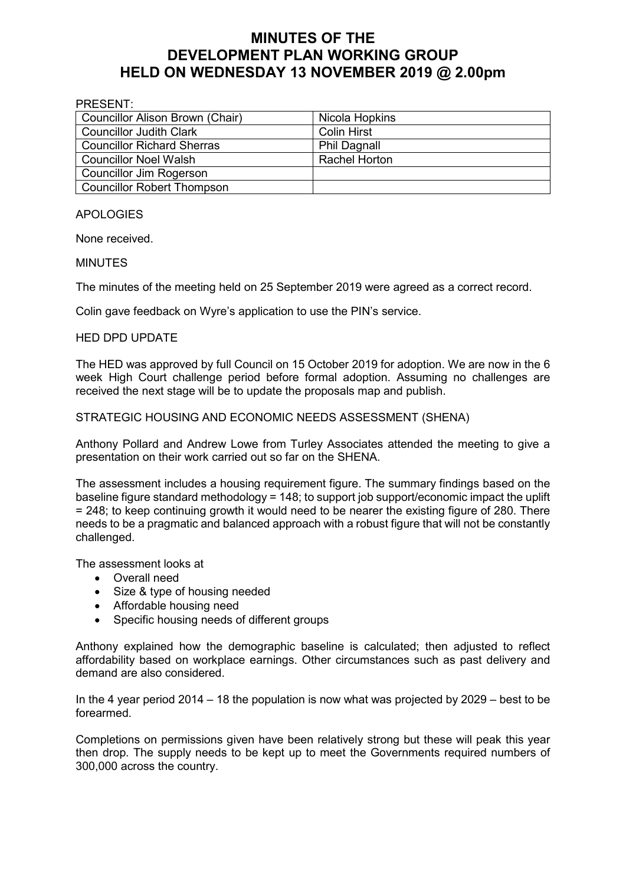# **MINUTES OF THE DEVELOPMENT PLAN WORKING GROUP HELD ON WEDNESDAY 13 NOVEMBER 2019 @ 2.00pm**

| PRESENT:                          |                     |  |
|-----------------------------------|---------------------|--|
| Councillor Alison Brown (Chair)   | Nicola Hopkins      |  |
| <b>Councillor Judith Clark</b>    | <b>Colin Hirst</b>  |  |
| <b>Councillor Richard Sherras</b> | <b>Phil Dagnall</b> |  |
| Councillor Noel Walsh             | Rachel Horton       |  |
| Councillor Jim Rogerson           |                     |  |
| Councillor Robert Thompson        |                     |  |

APOLOGIES

None received.

#### MINUTES

The minutes of the meeting held on 25 September 2019 were agreed as a correct record.

Colin gave feedback on Wyre's application to use the PIN's service.

#### HED DPD UPDATE

The HED was approved by full Council on 15 October 2019 for adoption. We are now in the 6 week High Court challenge period before formal adoption. Assuming no challenges are received the next stage will be to update the proposals map and publish.

#### STRATEGIC HOUSING AND ECONOMIC NEEDS ASSESSMENT (SHENA)

Anthony Pollard and Andrew Lowe from Turley Associates attended the meeting to give a presentation on their work carried out so far on the SHENA.

The assessment includes a housing requirement figure. The summary findings based on the baseline figure standard methodology = 148; to support job support/economic impact the uplift = 248; to keep continuing growth it would need to be nearer the existing figure of 280. There needs to be a pragmatic and balanced approach with a robust figure that will not be constantly challenged.

The assessment looks at

- Overall need
- Size & type of housing needed
- Affordable housing need
- Specific housing needs of different groups

Anthony explained how the demographic baseline is calculated; then adjusted to reflect affordability based on workplace earnings. Other circumstances such as past delivery and demand are also considered.

In the 4 year period 2014 – 18 the population is now what was projected by 2029 – best to be forearmed.

Completions on permissions given have been relatively strong but these will peak this year then drop. The supply needs to be kept up to meet the Governments required numbers of 300,000 across the country.